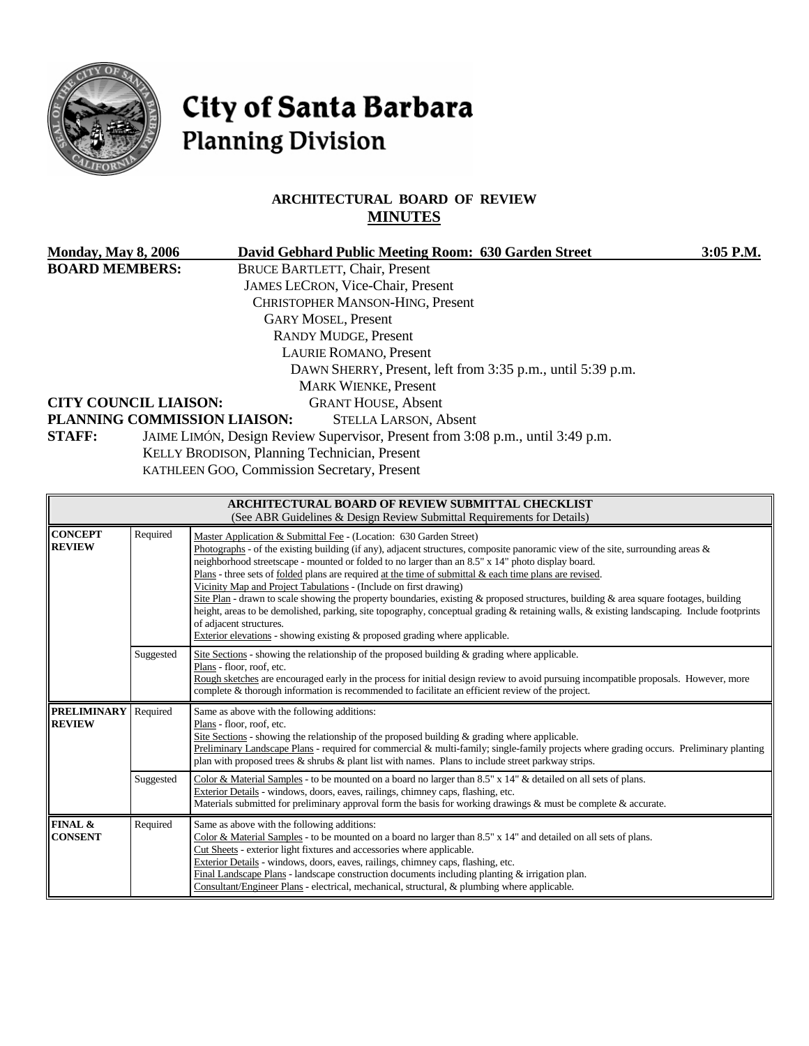

# City of Santa Barbara **Planning Division**

### **ARCHITECTURAL BOARD OF REVIEW MINUTES**

| <b>Monday, May 8, 2006</b>                                     | David Gebhard Public Meeting Room: 630 Garden Street                           | $3:05$ P.M. |  |  |  |
|----------------------------------------------------------------|--------------------------------------------------------------------------------|-------------|--|--|--|
| <b>BOARD MEMBERS:</b><br><b>BRUCE BARTLETT, Chair, Present</b> |                                                                                |             |  |  |  |
|                                                                | <b>JAMES LECRON, Vice-Chair, Present</b>                                       |             |  |  |  |
|                                                                | <b>CHRISTOPHER MANSON-HING, Present</b>                                        |             |  |  |  |
| <b>GARY MOSEL, Present</b>                                     |                                                                                |             |  |  |  |
| <b>RANDY MUDGE, Present</b>                                    |                                                                                |             |  |  |  |
| <b>LAURIE ROMANO, Present</b>                                  |                                                                                |             |  |  |  |
| DAWN SHERRY, Present, left from 3:35 p.m., until 5:39 p.m.     |                                                                                |             |  |  |  |
| <b>MARK WIENKE, Present</b>                                    |                                                                                |             |  |  |  |
| <b>CITY COUNCIL LIAISON:</b>                                   | <b>GRANT HOUSE, Absent</b>                                                     |             |  |  |  |
| PLANNING COMMISSION LIAISON:<br><b>STELLA LARSON, Absent</b>   |                                                                                |             |  |  |  |
| <b>STAFF:</b>                                                  | JAIME LIMÓN, Design Review Supervisor, Present from 3:08 p.m., until 3:49 p.m. |             |  |  |  |
|                                                                | KELLY BRODISON, Planning Technician, Present                                   |             |  |  |  |
|                                                                | KATHLEEN GOO, Commission Secretary, Present                                    |             |  |  |  |
|                                                                |                                                                                |             |  |  |  |
| ARCHITECTURAL BOARD OF REVIEW SUBMITTAL CHECKLIST              |                                                                                |             |  |  |  |

| (See ABR Guidelines & Design Review Submittal Requirements for Details) |           |                                                                                                                                                                                                                                                                                                                                                                                                                                                                                                                                                                                                                                                                                                                                                                                                                                                                                                      |  |  |  |
|-------------------------------------------------------------------------|-----------|------------------------------------------------------------------------------------------------------------------------------------------------------------------------------------------------------------------------------------------------------------------------------------------------------------------------------------------------------------------------------------------------------------------------------------------------------------------------------------------------------------------------------------------------------------------------------------------------------------------------------------------------------------------------------------------------------------------------------------------------------------------------------------------------------------------------------------------------------------------------------------------------------|--|--|--|
| <b>CONCEPT</b><br><b>REVIEW</b>                                         | Required  | Master Application & Submittal Fee - (Location: 630 Garden Street)<br>Photographs - of the existing building (if any), adjacent structures, composite panoramic view of the site, surrounding areas $\&$<br>neighborhood streetscape - mounted or folded to no larger than an 8.5" x 14" photo display board.<br>Plans - three sets of folded plans are required at the time of submittal $\&$ each time plans are revised.<br>Vicinity Map and Project Tabulations - (Include on first drawing)<br>Site Plan - drawn to scale showing the property boundaries, existing & proposed structures, building & area square footages, building<br>height, areas to be demolished, parking, site topography, conceptual grading & retaining walls, & existing landscaping. Include footprints<br>of adjacent structures.<br>Exterior elevations - showing existing $\&$ proposed grading where applicable. |  |  |  |
|                                                                         | Suggested | Site Sections - showing the relationship of the proposed building $\&$ grading where applicable.<br>Plans - floor, roof, etc.<br>Rough sketches are encouraged early in the process for initial design review to avoid pursuing incompatible proposals. However, more<br>complete & thorough information is recommended to facilitate an efficient review of the project.                                                                                                                                                                                                                                                                                                                                                                                                                                                                                                                            |  |  |  |
| <b>PRELIMINARY</b><br><b>REVIEW</b>                                     | Required  | Same as above with the following additions:<br>Plans - floor, roof, etc.<br>Site Sections - showing the relationship of the proposed building $\&$ grading where applicable.<br>Preliminary Landscape Plans - required for commercial & multi-family; single-family projects where grading occurs. Preliminary planting<br>plan with proposed trees $\&$ shrubs $\&$ plant list with names. Plans to include street parkway strips.                                                                                                                                                                                                                                                                                                                                                                                                                                                                  |  |  |  |
|                                                                         | Suggested | Color & Material Samples - to be mounted on a board no larger than 8.5" x 14" & detailed on all sets of plans.<br>Exterior Details - windows, doors, eaves, railings, chimney caps, flashing, etc.                                                                                                                                                                                                                                                                                                                                                                                                                                                                                                                                                                                                                                                                                                   |  |  |  |
|                                                                         |           | Materials submitted for preliminary approval form the basis for working drawings $\&$ must be complete $\&$ accurate.                                                                                                                                                                                                                                                                                                                                                                                                                                                                                                                                                                                                                                                                                                                                                                                |  |  |  |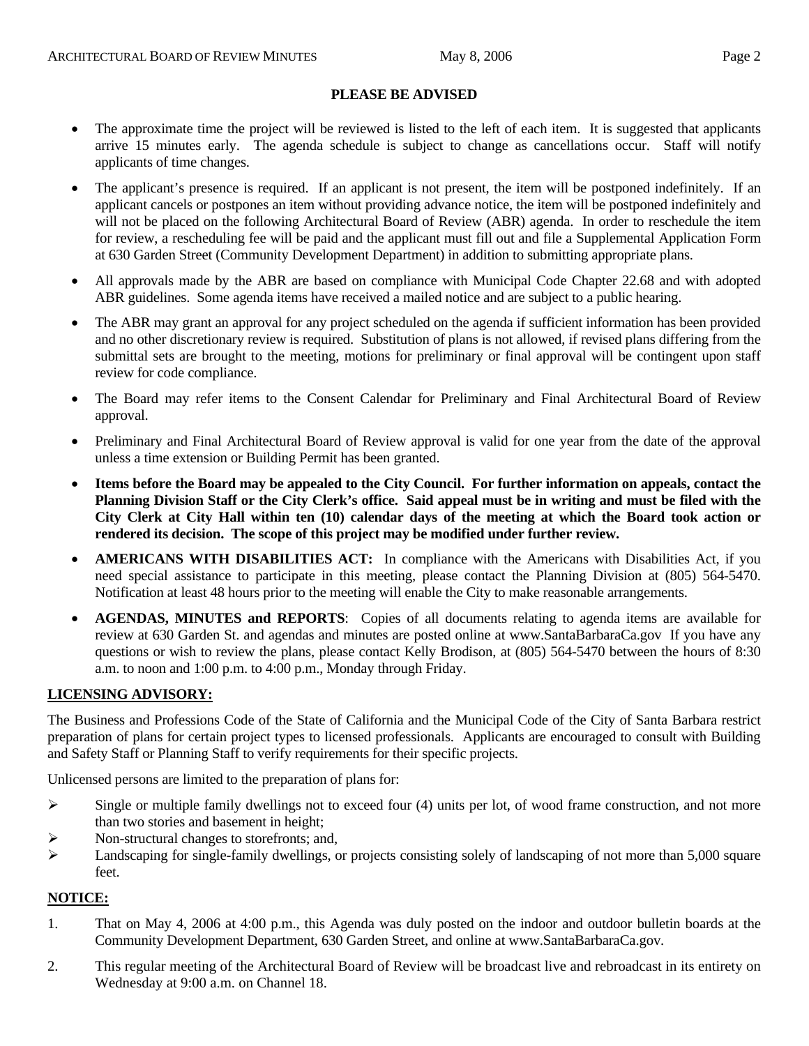- The approximate time the project will be reviewed is listed to the left of each item. It is suggested that applicants arrive 15 minutes early. The agenda schedule is subject to change as cancellations occur. Staff will notify applicants of time changes.
- The applicant's presence is required. If an applicant is not present, the item will be postponed indefinitely. If an applicant cancels or postpones an item without providing advance notice, the item will be postponed indefinitely and will not be placed on the following Architectural Board of Review (ABR) agenda. In order to reschedule the item for review, a rescheduling fee will be paid and the applicant must fill out and file a Supplemental Application Form at 630 Garden Street (Community Development Department) in addition to submitting appropriate plans.
- All approvals made by the ABR are based on compliance with Municipal Code Chapter 22.68 and with adopted ABR guidelines. Some agenda items have received a mailed notice and are subject to a public hearing.
- The ABR may grant an approval for any project scheduled on the agenda if sufficient information has been provided and no other discretionary review is required. Substitution of plans is not allowed, if revised plans differing from the submittal sets are brought to the meeting, motions for preliminary or final approval will be contingent upon staff review for code compliance.
- The Board may refer items to the Consent Calendar for Preliminary and Final Architectural Board of Review approval.
- Preliminary and Final Architectural Board of Review approval is valid for one year from the date of the approval unless a time extension or Building Permit has been granted.
- **Items before the Board may be appealed to the City Council. For further information on appeals, contact the Planning Division Staff or the City Clerk's office. Said appeal must be in writing and must be filed with the City Clerk at City Hall within ten (10) calendar days of the meeting at which the Board took action or rendered its decision. The scope of this project may be modified under further review.**
- **AMERICANS WITH DISABILITIES ACT:** In compliance with the Americans with Disabilities Act, if you need special assistance to participate in this meeting, please contact the Planning Division at (805) 564-5470. Notification at least 48 hours prior to the meeting will enable the City to make reasonable arrangements.
- **AGENDAS, MINUTES and REPORTS**: Copies of all documents relating to agenda items are available for review at 630 Garden St. and agendas and minutes are posted online at [www.SantaBarbaraCa.gov](http://www.santabarbaraca.gov/) If you have any questions or wish to review the plans, please contact Kelly Brodison, at (805) 564-5470 between the hours of 8:30 a.m. to noon and 1:00 p.m. to 4:00 p.m., Monday through Friday.

#### **LICENSING ADVISORY:**

The Business and Professions Code of the State of California and the Municipal Code of the City of Santa Barbara restrict preparation of plans for certain project types to licensed professionals. Applicants are encouraged to consult with Building and Safety Staff or Planning Staff to verify requirements for their specific projects.

Unlicensed persons are limited to the preparation of plans for:

- $\triangleright$  Single or multiple family dwellings not to exceed four (4) units per lot, of wood frame construction, and not more than two stories and basement in height;
- ¾ Non-structural changes to storefronts; and,
- $\blacktriangleright$  Landscaping for single-family dwellings, or projects consisting solely of landscaping of not more than 5,000 square feet.

#### **NOTICE:**

- 1. That on May 4, 2006 at 4:00 p.m., this Agenda was duly posted on the indoor and outdoor bulletin boards at the Community Development Department, 630 Garden Street, and online at www.SantaBarbaraCa.gov.
- 2. This regular meeting of the Architectural Board of Review will be broadcast live and rebroadcast in its entirety on Wednesday at 9:00 a.m. on Channel 18.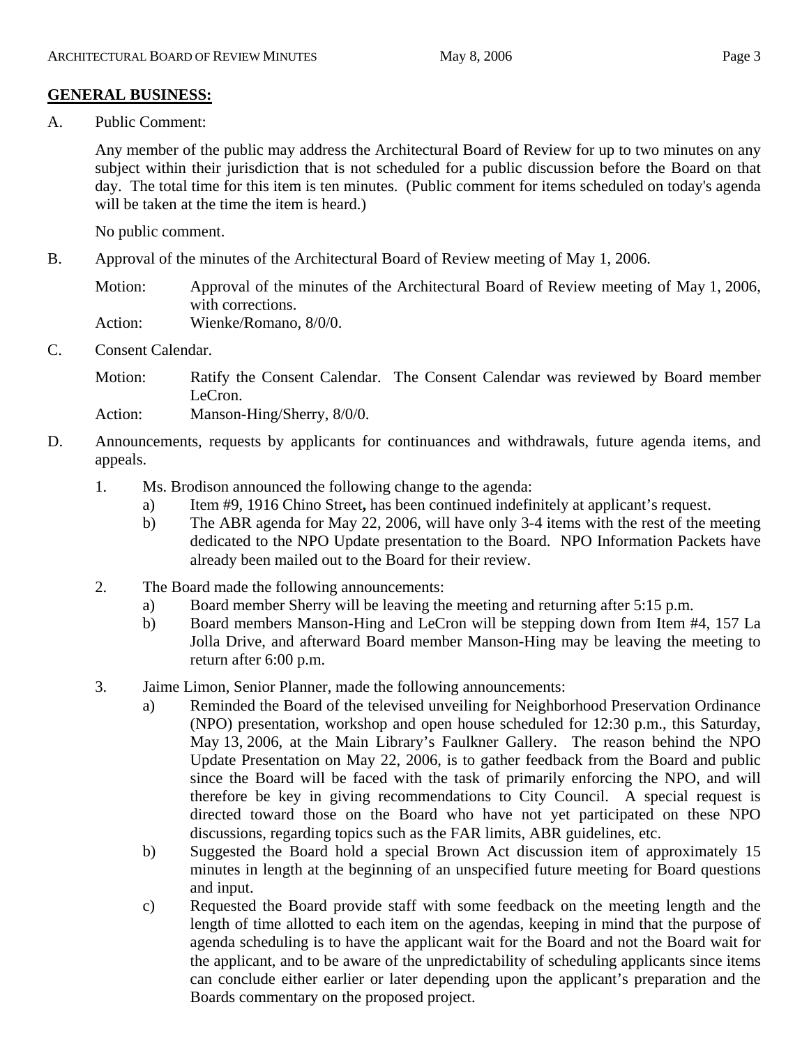### **GENERAL BUSINESS:**

A. Public Comment:

Any member of the public may address the Architectural Board of Review for up to two minutes on any subject within their jurisdiction that is not scheduled for a public discussion before the Board on that day. The total time for this item is ten minutes. (Public comment for items scheduled on today's agenda will be taken at the time the item is heard.)

No public comment.

B. Approval of the minutes of the Architectural Board of Review meeting of May 1, 2006.

Motion: Approval of the minutes of the Architectural Board of Review meeting of May 1, 2006, with corrections.

Action: Wienke/Romano, 8/0/0.

C. Consent Calendar.

Motion: Ratify the Consent Calendar. The Consent Calendar was reviewed by Board member LeCron.

Action: Manson-Hing/Sherry, 8/0/0.

- D. Announcements, requests by applicants for continuances and withdrawals, future agenda items, and appeals.
	- 1. Ms. Brodison announced the following change to the agenda:
		- a) Item #9, 1916 Chino Street**,** has been continued indefinitely at applicant's request.
		- b) The ABR agenda for May 22, 2006, will have only 3-4 items with the rest of the meeting dedicated to the NPO Update presentation to the Board. NPO Information Packets have already been mailed out to the Board for their review.
	- 2. The Board made the following announcements:
		- a) Board member Sherry will be leaving the meeting and returning after 5:15 p.m.
		- b) Board members Manson-Hing and LeCron will be stepping down from Item #4, 157 La Jolla Drive, and afterward Board member Manson-Hing may be leaving the meeting to return after 6:00 p.m.
	- 3. Jaime Limon, Senior Planner, made the following announcements:
		- a) Reminded the Board of the televised unveiling for Neighborhood Preservation Ordinance (NPO) presentation, workshop and open house scheduled for 12:30 p.m., this Saturday, May 13, 2006, at the Main Library's Faulkner Gallery. The reason behind the NPO Update Presentation on May 22, 2006, is to gather feedback from the Board and public since the Board will be faced with the task of primarily enforcing the NPO, and will therefore be key in giving recommendations to City Council. A special request is directed toward those on the Board who have not yet participated on these NPO discussions, regarding topics such as the FAR limits, ABR guidelines, etc.
		- b) Suggested the Board hold a special Brown Act discussion item of approximately 15 minutes in length at the beginning of an unspecified future meeting for Board questions and input.
		- c) Requested the Board provide staff with some feedback on the meeting length and the length of time allotted to each item on the agendas, keeping in mind that the purpose of agenda scheduling is to have the applicant wait for the Board and not the Board wait for the applicant, and to be aware of the unpredictability of scheduling applicants since items can conclude either earlier or later depending upon the applicant's preparation and the Boards commentary on the proposed project.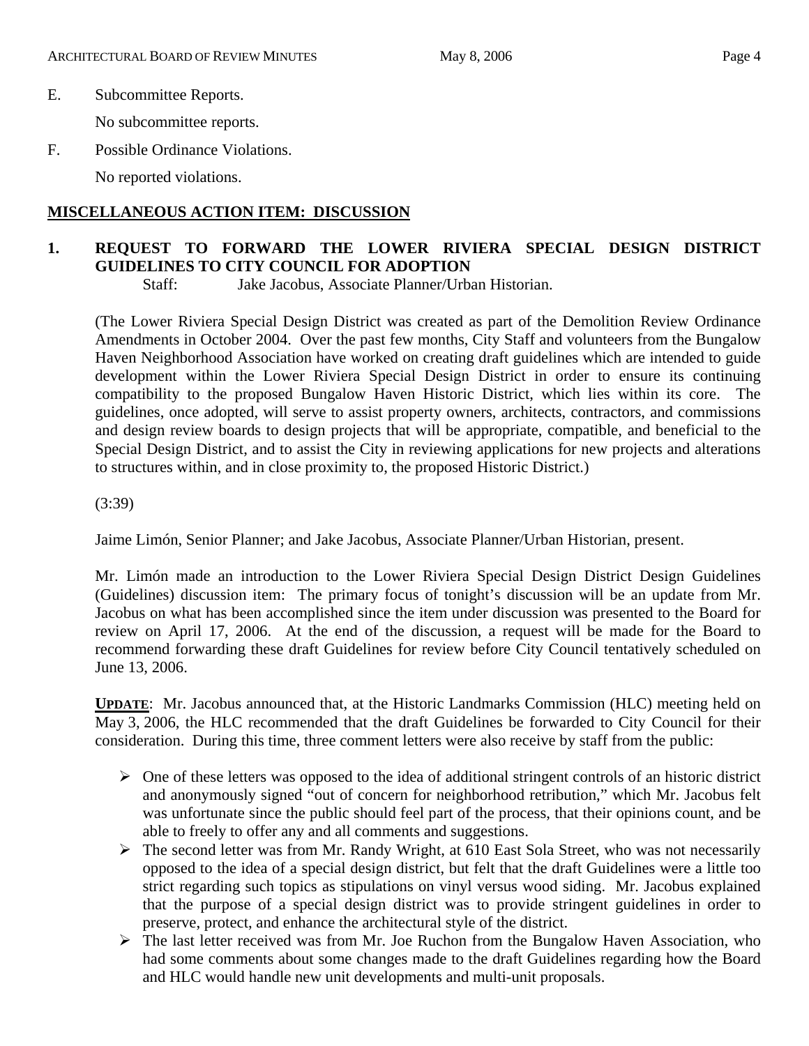No subcommittee reports.

F. Possible Ordinance Violations.

No reported violations.

### **MISCELLANEOUS ACTION ITEM: DISCUSSION**

### **1. REQUEST TO FORWARD THE LOWER RIVIERA SPECIAL DESIGN DISTRICT GUIDELINES TO CITY COUNCIL FOR ADOPTION**

Staff:Jake Jacobus, Associate Planner/Urban Historian.

(The Lower Riviera Special Design District was created as part of the Demolition Review Ordinance Amendments in October 2004. Over the past few months, City Staff and volunteers from the Bungalow Haven Neighborhood Association have worked on creating draft guidelines which are intended to guide development within the Lower Riviera Special Design District in order to ensure its continuing compatibility to the proposed Bungalow Haven Historic District, which lies within its core. The guidelines, once adopted, will serve to assist property owners, architects, contractors, and commissions and design review boards to design projects that will be appropriate, compatible, and beneficial to the Special Design District, and to assist the City in reviewing applications for new projects and alterations to structures within, and in close proximity to, the proposed Historic District.)

(3:39)

Jaime Limón, Senior Planner; and Jake Jacobus, Associate Planner/Urban Historian, present.

Mr. Limón made an introduction to the Lower Riviera Special Design District Design Guidelines (Guidelines) discussion item: The primary focus of tonight's discussion will be an update from Mr. Jacobus on what has been accomplished since the item under discussion was presented to the Board for review on April 17, 2006. At the end of the discussion, a request will be made for the Board to recommend forwarding these draft Guidelines for review before City Council tentatively scheduled on June 13, 2006.

**UPDATE**: Mr. Jacobus announced that, at the Historic Landmarks Commission (HLC) meeting held on May 3, 2006, the HLC recommended that the draft Guidelines be forwarded to City Council for their consideration. During this time, three comment letters were also receive by staff from the public:

- $\triangleright$  One of these letters was opposed to the idea of additional stringent controls of an historic district and anonymously signed "out of concern for neighborhood retribution," which Mr. Jacobus felt was unfortunate since the public should feel part of the process, that their opinions count, and be able to freely to offer any and all comments and suggestions.
- ¾ The second letter was from Mr. Randy Wright, at 610 East Sola Street, who was not necessarily opposed to the idea of a special design district, but felt that the draft Guidelines were a little too strict regarding such topics as stipulations on vinyl versus wood siding. Mr. Jacobus explained that the purpose of a special design district was to provide stringent guidelines in order to preserve, protect, and enhance the architectural style of the district.
- $\triangleright$  The last letter received was from Mr. Joe Ruchon from the Bungalow Haven Association, who had some comments about some changes made to the draft Guidelines regarding how the Board and HLC would handle new unit developments and multi-unit proposals.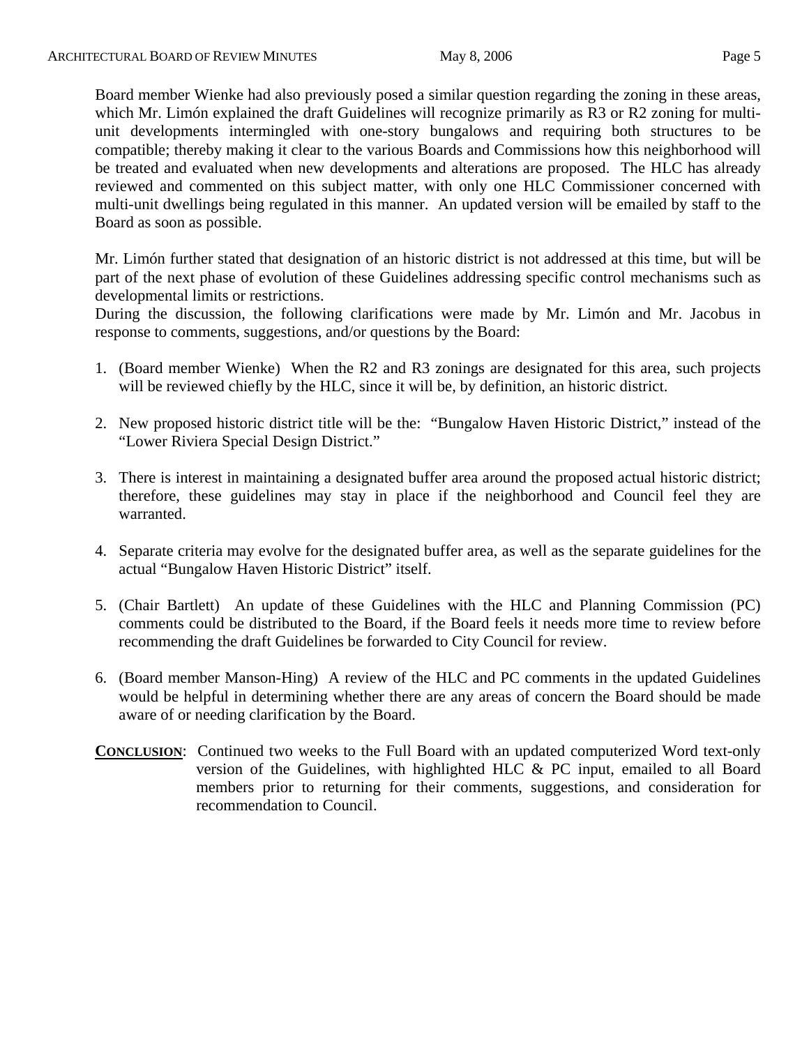Board member Wienke had also previously posed a similar question regarding the zoning in these areas, which Mr. Limón explained the draft Guidelines will recognize primarily as R3 or R2 zoning for multiunit developments intermingled with one-story bungalows and requiring both structures to be compatible; thereby making it clear to the various Boards and Commissions how this neighborhood will be treated and evaluated when new developments and alterations are proposed. The HLC has already reviewed and commented on this subject matter, with only one HLC Commissioner concerned with multi-unit dwellings being regulated in this manner. An updated version will be emailed by staff to the Board as soon as possible.

Mr. Limón further stated that designation of an historic district is not addressed at this time, but will be part of the next phase of evolution of these Guidelines addressing specific control mechanisms such as developmental limits or restrictions.

During the discussion, the following clarifications were made by Mr. Limón and Mr. Jacobus in response to comments, suggestions, and/or questions by the Board:

- 1. (Board member Wienke) When the R2 and R3 zonings are designated for this area, such projects will be reviewed chiefly by the HLC, since it will be, by definition, an historic district.
- 2. New proposed historic district title will be the: "Bungalow Haven Historic District," instead of the "Lower Riviera Special Design District."
- 3. There is interest in maintaining a designated buffer area around the proposed actual historic district; therefore, these guidelines may stay in place if the neighborhood and Council feel they are warranted.
- 4. Separate criteria may evolve for the designated buffer area, as well as the separate guidelines for the actual "Bungalow Haven Historic District" itself.
- 5. (Chair Bartlett) An update of these Guidelines with the HLC and Planning Commission (PC) comments could be distributed to the Board, if the Board feels it needs more time to review before recommending the draft Guidelines be forwarded to City Council for review.
- 6. (Board member Manson-Hing) A review of the HLC and PC comments in the updated Guidelines would be helpful in determining whether there are any areas of concern the Board should be made aware of or needing clarification by the Board.
- **CONCLUSION**: Continued two weeks to the Full Board with an updated computerized Word text-only version of the Guidelines, with highlighted HLC & PC input, emailed to all Board members prior to returning for their comments, suggestions, and consideration for recommendation to Council.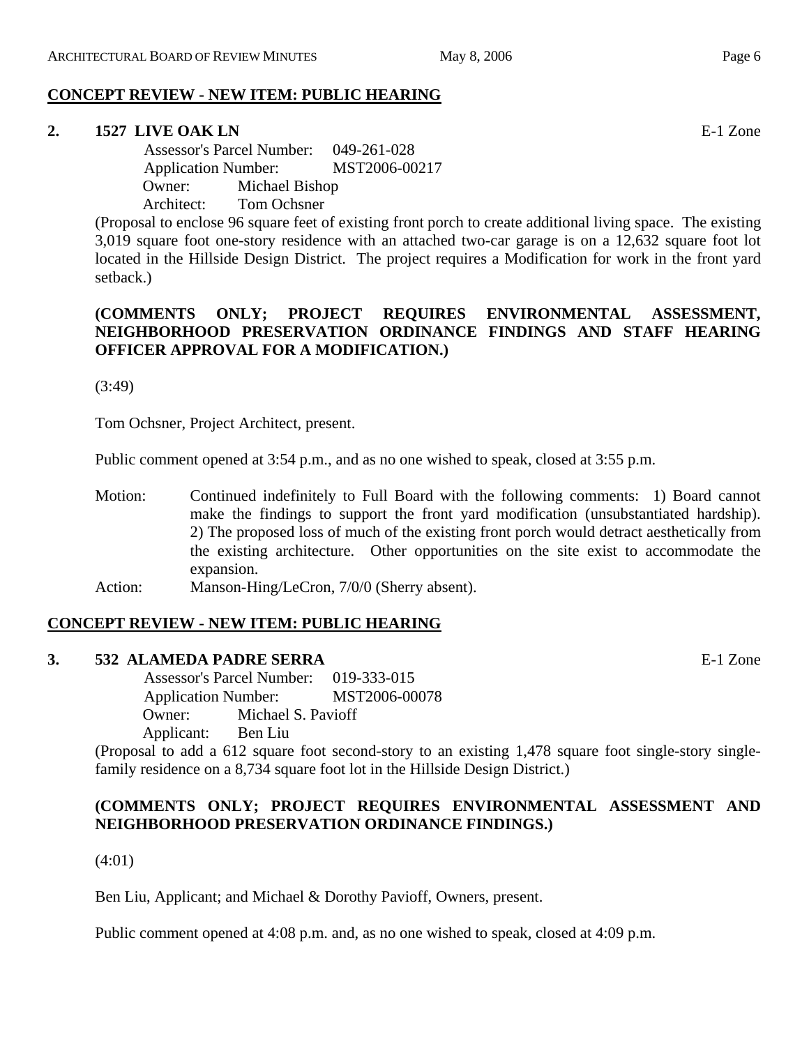### **CONCEPT REVIEW - NEW ITEM: PUBLIC HEARING**

### **2. 1527 LIVE OAK LN** E-1 Zone

 Assessor's Parcel Number: 049-261-028 Application Number: MST2006-00217 Owner: Michael Bishop Architect: Tom Ochsner

(Proposal to enclose 96 square feet of existing front porch to create additional living space. The existing 3,019 square foot one-story residence with an attached two-car garage is on a 12,632 square foot lot located in the Hillside Design District. The project requires a Modification for work in the front yard setback.)

### **(COMMENTS ONLY; PROJECT REQUIRES ENVIRONMENTAL ASSESSMENT, NEIGHBORHOOD PRESERVATION ORDINANCE FINDINGS AND STAFF HEARING OFFICER APPROVAL FOR A MODIFICATION.)**

(3:49)

Tom Ochsner, Project Architect, present.

Public comment opened at 3:54 p.m., and as no one wished to speak, closed at 3:55 p.m.

Motion: Continued indefinitely to Full Board with the following comments: 1) Board cannot make the findings to support the front yard modification (unsubstantiated hardship). 2) The proposed loss of much of the existing front porch would detract aesthetically from the existing architecture. Other opportunities on the site exist to accommodate the expansion. Action: Manson-Hing/LeCron, 7/0/0 (Sherry absent).

## **CONCEPT REVIEW - NEW ITEM: PUBLIC HEARING**

#### **3. 532 ALAMEDA PADRE SERRA** E-1 Zone

 Assessor's Parcel Number: 019-333-015 Application Number: MST2006-00078 Owner: Michael S. Pavioff Applicant: Ben Liu

(Proposal to add a 612 square foot second-story to an existing 1,478 square foot single-story singlefamily residence on a 8,734 square foot lot in the Hillside Design District.)

### **(COMMENTS ONLY; PROJECT REQUIRES ENVIRONMENTAL ASSESSMENT AND NEIGHBORHOOD PRESERVATION ORDINANCE FINDINGS.)**

(4:01)

Ben Liu, Applicant; and Michael & Dorothy Pavioff, Owners, present.

Public comment opened at 4:08 p.m. and, as no one wished to speak, closed at 4:09 p.m.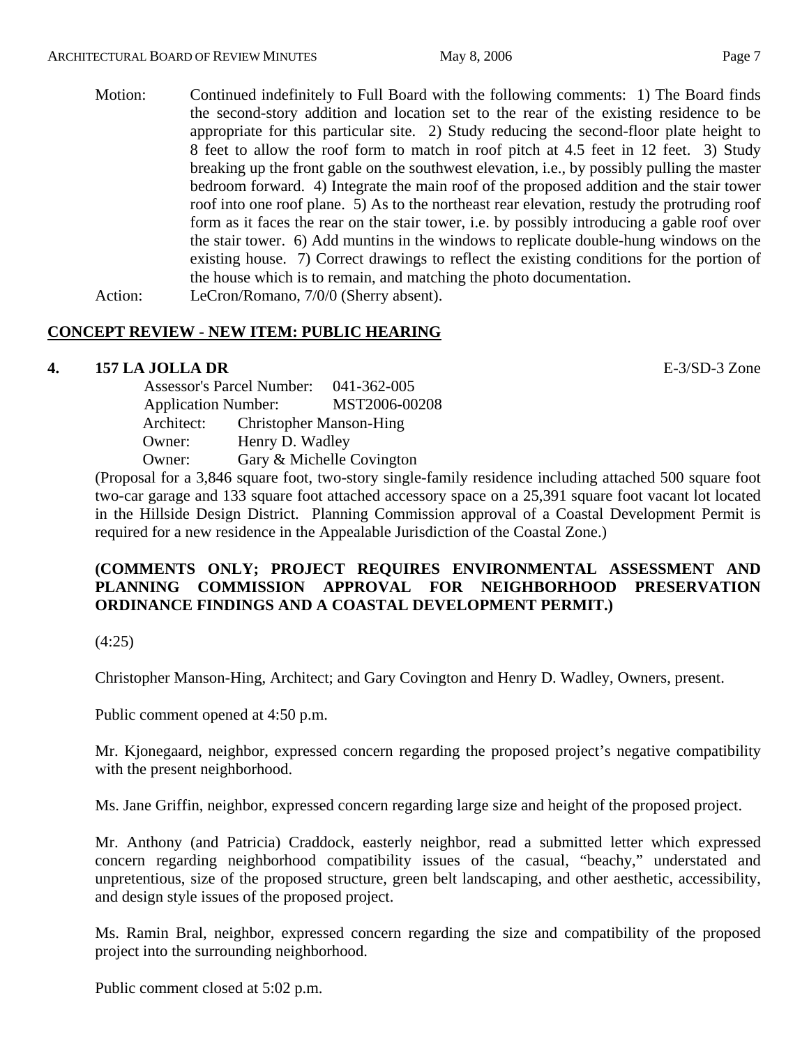Motion: Continued indefinitely to Full Board with the following comments: 1) The Board finds the second-story addition and location set to the rear of the existing residence to be appropriate for this particular site. 2) Study reducing the second-floor plate height to 8 feet to allow the roof form to match in roof pitch at 4.5 feet in 12 feet. 3) Study breaking up the front gable on the southwest elevation, i.e., by possibly pulling the master bedroom forward. 4) Integrate the main roof of the proposed addition and the stair tower roof into one roof plane. 5) As to the northeast rear elevation, restudy the protruding roof form as it faces the rear on the stair tower, i.e. by possibly introducing a gable roof over the stair tower. 6) Add muntins in the windows to replicate double-hung windows on the existing house. 7) Correct drawings to reflect the existing conditions for the portion of the house which is to remain, and matching the photo documentation.

Action: LeCron/Romano, 7/0/0 (Sherry absent).

#### **CONCEPT REVIEW - NEW ITEM: PUBLIC HEARING**

#### **4. 157 LA JOLLA DR** E-3/SD-3 Zone

 Assessor's Parcel Number: 041-362-005 Application Number: MST2006-00208 Architect: Christopher Manson-Hing Owner: Henry D. Wadley Owner: Gary & Michelle Covington

(Proposal for a 3,846 square foot, two-story single-family residence including attached 500 square foot two-car garage and 133 square foot attached accessory space on a 25,391 square foot vacant lot located in the Hillside Design District. Planning Commission approval of a Coastal Development Permit is required for a new residence in the Appealable Jurisdiction of the Coastal Zone.)

#### **(COMMENTS ONLY; PROJECT REQUIRES ENVIRONMENTAL ASSESSMENT AND PLANNING COMMISSION APPROVAL FOR NEIGHBORHOOD PRESERVATION ORDINANCE FINDINGS AND A COASTAL DEVELOPMENT PERMIT.)**

(4:25)

Christopher Manson-Hing, Architect; and Gary Covington and Henry D. Wadley, Owners, present.

Public comment opened at 4:50 p.m.

Mr. Kjonegaard, neighbor, expressed concern regarding the proposed project's negative compatibility with the present neighborhood.

Ms. Jane Griffin, neighbor, expressed concern regarding large size and height of the proposed project.

Mr. Anthony (and Patricia) Craddock, easterly neighbor, read a submitted letter which expressed concern regarding neighborhood compatibility issues of the casual, "beachy," understated and unpretentious, size of the proposed structure, green belt landscaping, and other aesthetic, accessibility, and design style issues of the proposed project.

Ms. Ramin Bral, neighbor, expressed concern regarding the size and compatibility of the proposed project into the surrounding neighborhood.

Public comment closed at 5:02 p.m.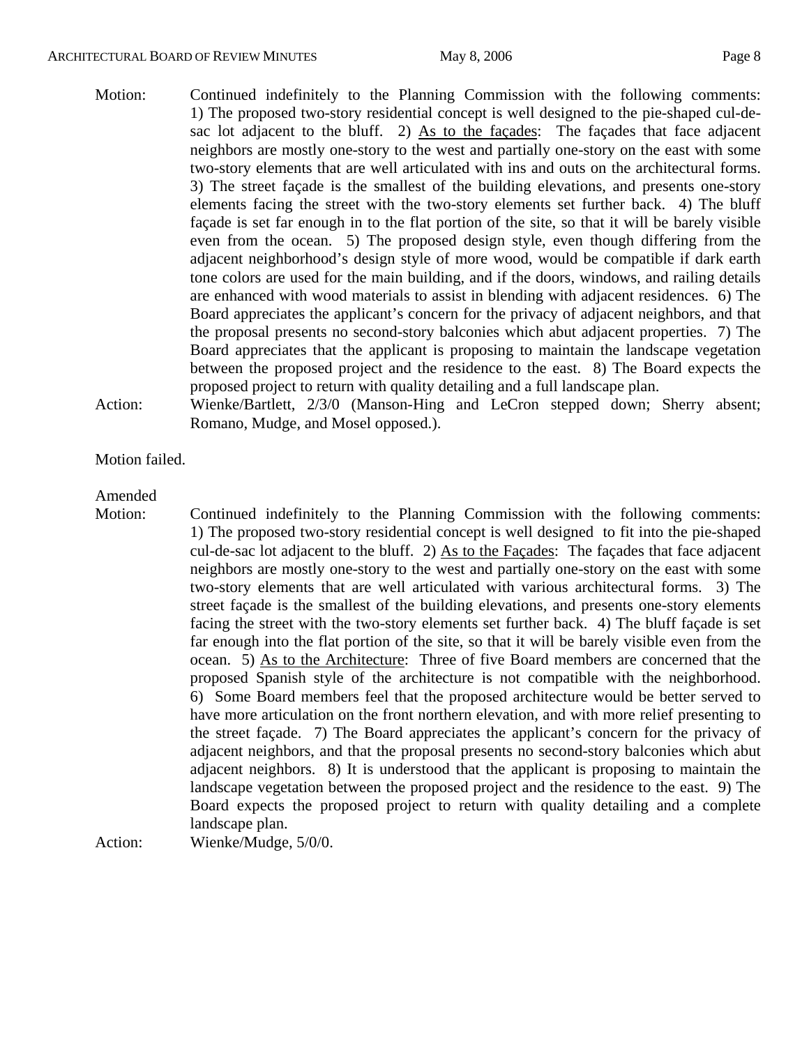#### ARCHITECTURAL BOARD OF REVIEW MINUTES May 8, 2006 May 8, 2006

- Motion: Continued indefinitely to the Planning Commission with the following comments: 1) The proposed two-story residential concept is well designed to the pie-shaped cul-desac lot adjacent to the bluff. 2) As to the façades: The façades that face adjacent neighbors are mostly one-story to the west and partially one-story on the east with some two-story elements that are well articulated with ins and outs on the architectural forms. 3) The street façade is the smallest of the building elevations, and presents one-story elements facing the street with the two-story elements set further back. 4) The bluff façade is set far enough in to the flat portion of the site, so that it will be barely visible even from the ocean. 5) The proposed design style, even though differing from the adjacent neighborhood's design style of more wood, would be compatible if dark earth tone colors are used for the main building, and if the doors, windows, and railing details are enhanced with wood materials to assist in blending with adjacent residences. 6) The Board appreciates the applicant's concern for the privacy of adjacent neighbors, and that the proposal presents no second-story balconies which abut adjacent properties. 7) The Board appreciates that the applicant is proposing to maintain the landscape vegetation between the proposed project and the residence to the east. 8) The Board expects the proposed project to return with quality detailing and a full landscape plan.
- Action: Wienke/Bartlett, 2/3/0 (Manson-Hing and LeCron stepped down; Sherry absent; Romano, Mudge, and Mosel opposed.).

#### Motion failed.

#### Amended

Motion: Continued indefinitely to the Planning Commission with the following comments: 1) The proposed two-story residential concept is well designed to fit into the pie-shaped cul-de-sac lot adjacent to the bluff. 2) As to the Façades: The façades that face adjacent neighbors are mostly one-story to the west and partially one-story on the east with some two-story elements that are well articulated with various architectural forms. 3) The street façade is the smallest of the building elevations, and presents one-story elements facing the street with the two-story elements set further back. 4) The bluff façade is set far enough into the flat portion of the site, so that it will be barely visible even from the ocean. 5) As to the Architecture: Three of five Board members are concerned that the proposed Spanish style of the architecture is not compatible with the neighborhood. 6) Some Board members feel that the proposed architecture would be better served to have more articulation on the front northern elevation, and with more relief presenting to the street façade. 7) The Board appreciates the applicant's concern for the privacy of adjacent neighbors, and that the proposal presents no second-story balconies which abut adjacent neighbors. 8) It is understood that the applicant is proposing to maintain the landscape vegetation between the proposed project and the residence to the east. 9) The Board expects the proposed project to return with quality detailing and a complete landscape plan.

Action: Wienke/Mudge, 5/0/0.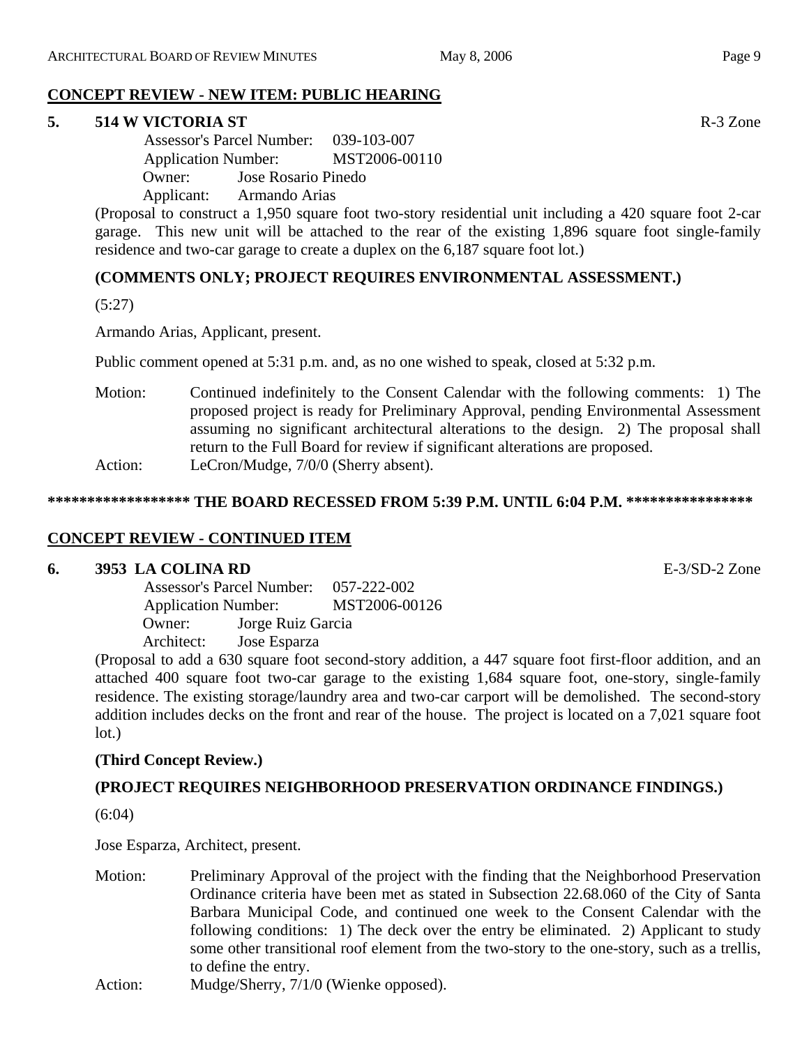### **CONCEPT REVIEW - NEW ITEM: PUBLIC HEARING**

### **5. 514 W VICTORIA ST R-3** Zone

 Assessor's Parcel Number: 039-103-007 Application Number: MST2006-00110 Owner: Jose Rosario Pinedo Applicant: Armando Arias

(Proposal to construct a 1,950 square foot two-story residential unit including a 420 square foot 2-car garage. This new unit will be attached to the rear of the existing 1,896 square foot single-family residence and two-car garage to create a duplex on the 6,187 square foot lot.)

### **(COMMENTS ONLY; PROJECT REQUIRES ENVIRONMENTAL ASSESSMENT.)**

(5:27)

Armando Arias, Applicant, present.

Public comment opened at 5:31 p.m. and, as no one wished to speak, closed at 5:32 p.m.

Motion: Continued indefinitely to the Consent Calendar with the following comments: 1) The proposed project is ready for Preliminary Approval, pending Environmental Assessment assuming no significant architectural alterations to the design. 2) The proposal shall return to the Full Board for review if significant alterations are proposed. Action: LeCron/Mudge, 7/0/0 (Sherry absent).

### **\*\*\*\*\*\*\*\*\*\*\*\*\*\*\*\*\*\* THE BOARD RECESSED FROM 5:39 P.M. UNTIL 6:04 P.M. \*\*\*\*\*\*\*\*\*\*\*\*\*\*\*\***

### **CONCEPT REVIEW - CONTINUED ITEM**

### **6. 3953 LA COLINA RD** E-3/SD-2 Zone

 Assessor's Parcel Number: 057-222-002 Application Number: MST2006-00126 Owner: Jorge Ruiz Garcia Architect: Jose Esparza

(Proposal to add a 630 square foot second-story addition, a 447 square foot first-floor addition, and an attached 400 square foot two-car garage to the existing 1,684 square foot, one-story, single-family residence. The existing storage/laundry area and two-car carport will be demolished. The second-story addition includes decks on the front and rear of the house. The project is located on a 7,021 square foot lot.)

### **(Third Concept Review.)**

### **(PROJECT REQUIRES NEIGHBORHOOD PRESERVATION ORDINANCE FINDINGS.)**

(6:04)

Jose Esparza, Architect, present.

- Motion: Preliminary Approval of the project with the finding that the Neighborhood Preservation Ordinance criteria have been met as stated in Subsection 22.68.060 of the City of Santa Barbara Municipal Code, and continued one week to the Consent Calendar with the following conditions: 1) The deck over the entry be eliminated. 2) Applicant to study some other transitional roof element from the two-story to the one-story, such as a trellis, to define the entry.
- Action: Mudge/Sherry, 7/1/0 (Wienke opposed).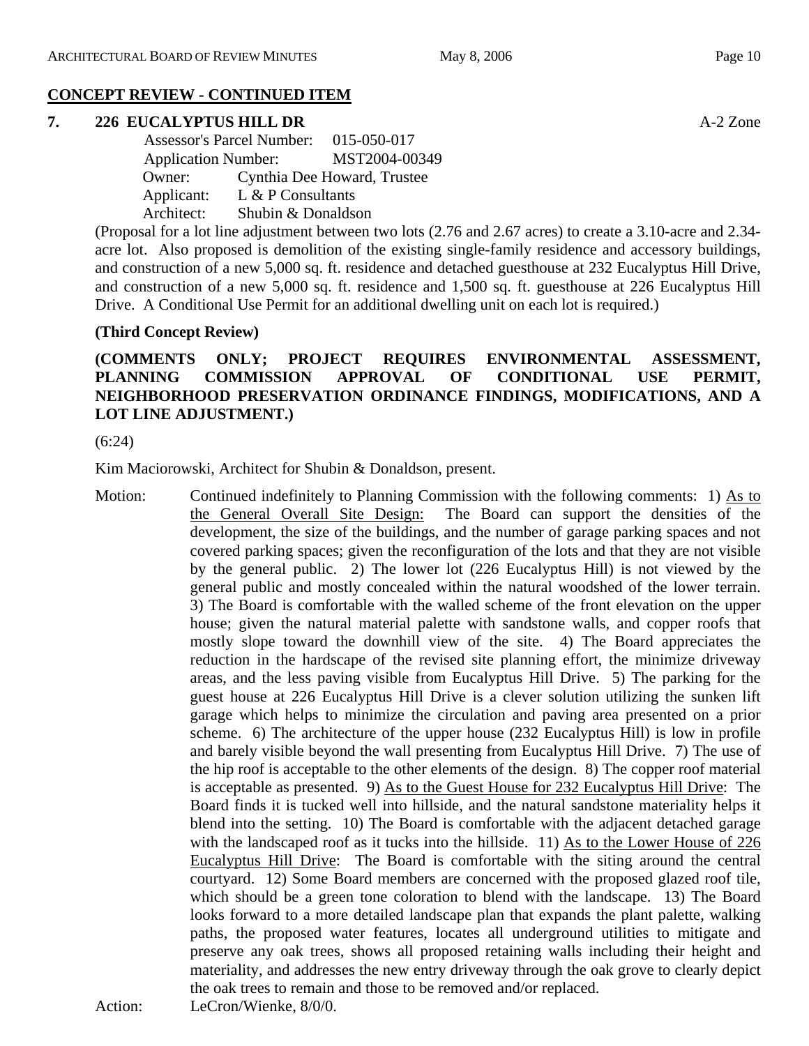#### **CONCEPT REVIEW - CONTINUED ITEM**

#### **7. 226 EUCALYPTUS HILL DR** A-2 Zone

|            | <b>Assessor's Parcel Number:</b> |                             |
|------------|----------------------------------|-----------------------------|
|            | <b>Application Number:</b>       |                             |
| Owner:     |                                  | Cynthia Dee Howard, Trustee |
| Applicant: | $L & P$ Consultants              |                             |
| Architect: | Shubin & Donaldson               |                             |

(Proposal for a lot line adjustment between two lots (2.76 and 2.67 acres) to create a 3.10-acre and 2.34 acre lot. Also proposed is demolition of the existing single-family residence and accessory buildings, and construction of a new 5,000 sq. ft. residence and detached guesthouse at 232 Eucalyptus Hill Drive, and construction of a new 5,000 sq. ft. residence and 1,500 sq. ft. guesthouse at 226 Eucalyptus Hill Drive. A Conditional Use Permit for an additional dwelling unit on each lot is required.)

#### **(Third Concept Review)**

### **(COMMENTS ONLY; PROJECT REQUIRES ENVIRONMENTAL ASSESSMENT, PLANNING COMMISSION APPROVAL OF CONDITIONAL USE PERMIT, NEIGHBORHOOD PRESERVATION ORDINANCE FINDINGS, MODIFICATIONS, AND A LOT LINE ADJUSTMENT.)**

(6:24)

Kim Maciorowski, Architect for Shubin & Donaldson, present.

Motion: Continued indefinitely to Planning Commission with the following comments: 1) As to the General Overall Site Design: The Board can support the densities of the development, the size of the buildings, and the number of garage parking spaces and not covered parking spaces; given the reconfiguration of the lots and that they are not visible by the general public. 2) The lower lot (226 Eucalyptus Hill) is not viewed by the general public and mostly concealed within the natural woodshed of the lower terrain. 3) The Board is comfortable with the walled scheme of the front elevation on the upper house; given the natural material palette with sandstone walls, and copper roofs that mostly slope toward the downhill view of the site. 4) The Board appreciates the reduction in the hardscape of the revised site planning effort, the minimize driveway areas, and the less paving visible from Eucalyptus Hill Drive. 5) The parking for the guest house at 226 Eucalyptus Hill Drive is a clever solution utilizing the sunken lift garage which helps to minimize the circulation and paving area presented on a prior scheme. 6) The architecture of the upper house (232 Eucalyptus Hill) is low in profile and barely visible beyond the wall presenting from Eucalyptus Hill Drive. 7) The use of the hip roof is acceptable to the other elements of the design. 8) The copper roof material is acceptable as presented. 9) As to the Guest House for 232 Eucalyptus Hill Drive: The Board finds it is tucked well into hillside, and the natural sandstone materiality helps it blend into the setting. 10) The Board is comfortable with the adjacent detached garage with the landscaped roof as it tucks into the hillside. 11) As to the Lower House of 226 Eucalyptus Hill Drive: The Board is comfortable with the siting around the central courtyard. 12) Some Board members are concerned with the proposed glazed roof tile, which should be a green tone coloration to blend with the landscape. 13) The Board looks forward to a more detailed landscape plan that expands the plant palette, walking paths, the proposed water features, locates all underground utilities to mitigate and preserve any oak trees, shows all proposed retaining walls including their height and materiality, and addresses the new entry driveway through the oak grove to clearly depict the oak trees to remain and those to be removed and/or replaced.

Action: LeCron/Wienke, 8/0/0.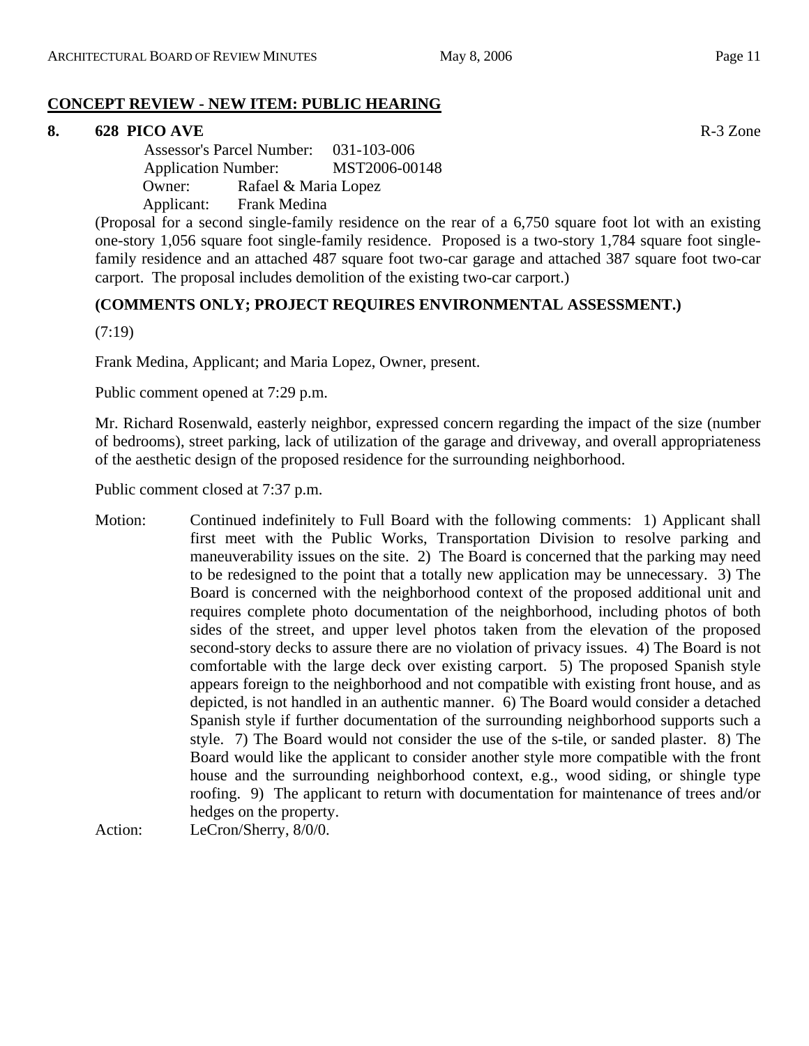### **CONCEPT REVIEW - NEW ITEM: PUBLIC HEARING**

### **8. 628 PICO AVE** R-3 Zone

 Assessor's Parcel Number: 031-103-006 Application Number: MST2006-00148 Owner: Rafael & Maria Lopez Applicant: Frank Medina

(Proposal for a second single-family residence on the rear of a 6,750 square foot lot with an existing one-story 1,056 square foot single-family residence. Proposed is a two-story 1,784 square foot singlefamily residence and an attached 487 square foot two-car garage and attached 387 square foot two-car carport. The proposal includes demolition of the existing two-car carport.)

### **(COMMENTS ONLY; PROJECT REQUIRES ENVIRONMENTAL ASSESSMENT.)**

(7:19)

Frank Medina, Applicant; and Maria Lopez, Owner, present.

Public comment opened at 7:29 p.m.

Mr. Richard Rosenwald, easterly neighbor, expressed concern regarding the impact of the size (number of bedrooms), street parking, lack of utilization of the garage and driveway, and overall appropriateness of the aesthetic design of the proposed residence for the surrounding neighborhood.

Public comment closed at 7:37 p.m.

Motion: Continued indefinitely to Full Board with the following comments: 1) Applicant shall first meet with the Public Works, Transportation Division to resolve parking and maneuverability issues on the site. 2) The Board is concerned that the parking may need to be redesigned to the point that a totally new application may be unnecessary. 3) The Board is concerned with the neighborhood context of the proposed additional unit and requires complete photo documentation of the neighborhood, including photos of both sides of the street, and upper level photos taken from the elevation of the proposed second-story decks to assure there are no violation of privacy issues. 4) The Board is not comfortable with the large deck over existing carport. 5) The proposed Spanish style appears foreign to the neighborhood and not compatible with existing front house, and as depicted, is not handled in an authentic manner. 6) The Board would consider a detached Spanish style if further documentation of the surrounding neighborhood supports such a style. 7) The Board would not consider the use of the s-tile, or sanded plaster. 8) The Board would like the applicant to consider another style more compatible with the front house and the surrounding neighborhood context, e.g., wood siding, or shingle type roofing. 9) The applicant to return with documentation for maintenance of trees and/or hedges on the property.

Action: LeCron/Sherry, 8/0/0.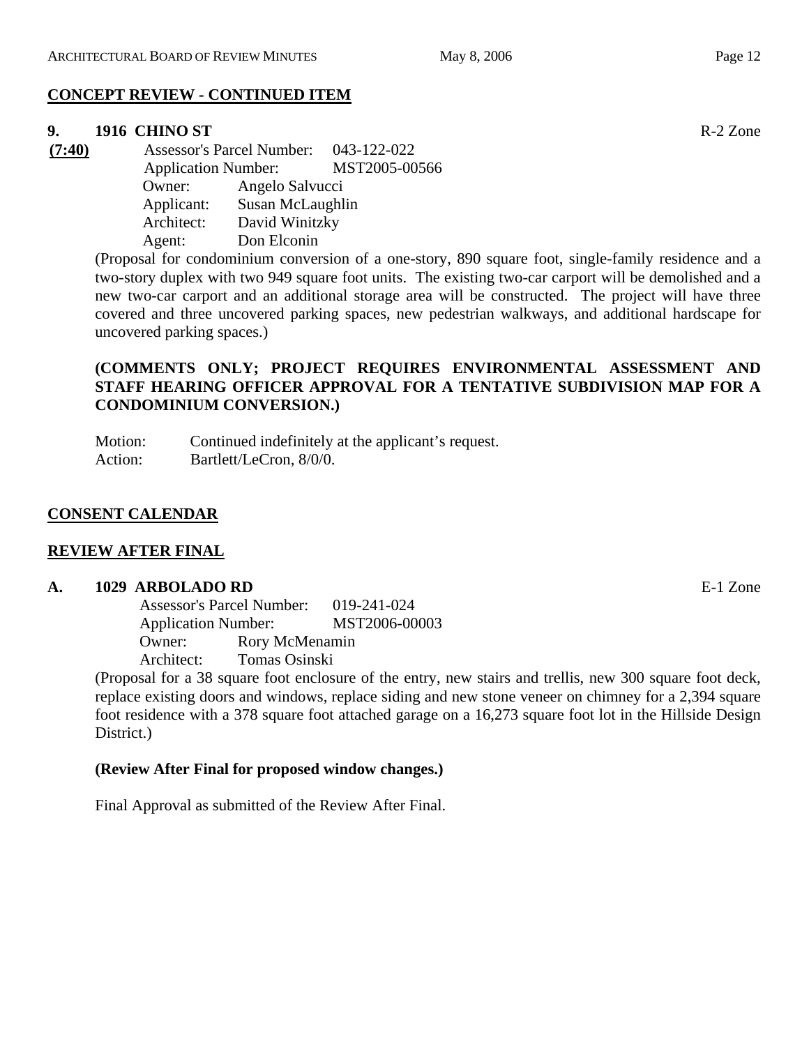#### **CONCEPT REVIEW - CONTINUED ITEM**

#### **9. 1916 CHINO ST** R-2 Zone

**(7:40)** Assessor's Parcel Number: 043-122-022 Application Number: MST2005-00566 Owner: Angelo Salvucci Applicant: Susan McLaughlin Architect: David Winitzky Agent: Don Elconin

> (Proposal for condominium conversion of a one-story, 890 square foot, single-family residence and a two-story duplex with two 949 square foot units. The existing two-car carport will be demolished and a new two-car carport and an additional storage area will be constructed. The project will have three covered and three uncovered parking spaces, new pedestrian walkways, and additional hardscape for uncovered parking spaces.)

### **(COMMENTS ONLY; PROJECT REQUIRES ENVIRONMENTAL ASSESSMENT AND STAFF HEARING OFFICER APPROVAL FOR A TENTATIVE SUBDIVISION MAP FOR A CONDOMINIUM CONVERSION.)**

Motion: Continued indefinitely at the applicant's request. Action: Bartlett/LeCron, 8/0/0.

### **CONSENT CALENDAR**

#### **REVIEW AFTER FINAL**

#### **A. 1029 ARBOLADO RD** E-1 Zone

Assessor's Parcel Number: 019-241-024 Application Number: MST2006-00003 Owner: Rory McMenamin Architect: Tomas Osinski

(Proposal for a 38 square foot enclosure of the entry, new stairs and trellis, new 300 square foot deck, replace existing doors and windows, replace siding and new stone veneer on chimney for a 2,394 square foot residence with a 378 square foot attached garage on a 16,273 square foot lot in the Hillside Design District.)

#### **(Review After Final for proposed window changes.)**

Final Approval as submitted of the Review After Final.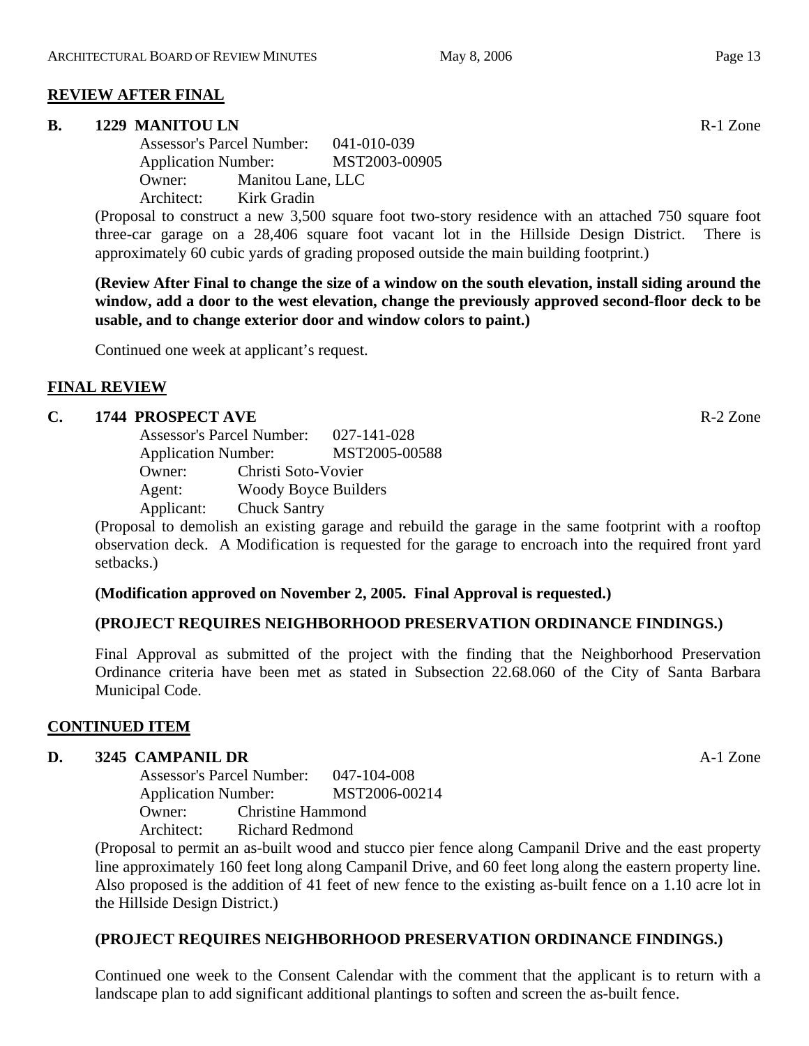### **REVIEW AFTER FINAL**

#### **B.** 1229 MANITOU LN **R-1** Zone

Assessor's Parcel Number: 041-010-039 Application Number: MST2003-00905 Owner: Manitou Lane, LLC Architect: Kirk Gradin

(Proposal to construct a new 3,500 square foot two-story residence with an attached 750 square foot three-car garage on a 28,406 square foot vacant lot in the Hillside Design District. There is approximately 60 cubic yards of grading proposed outside the main building footprint.)

**(Review After Final to change the size of a window on the south elevation, install siding around the window, add a door to the west elevation, change the previously approved second-floor deck to be usable, and to change exterior door and window colors to paint.)** 

Continued one week at applicant's request.

#### **FINAL REVIEW**

#### **C. 1744 PROSPECT AVE** R-2 Zone

Assessor's Parcel Number: 027-141-028 Application Number: MST2005-00588 Owner: Christi Soto-Vovier Agent: Woody Boyce Builders Applicant: Chuck Santry

(Proposal to demolish an existing garage and rebuild the garage in the same footprint with a rooftop observation deck. A Modification is requested for the garage to encroach into the required front yard setbacks.)

#### **(Modification approved on November 2, 2005. Final Approval is requested.)**

#### **(PROJECT REQUIRES NEIGHBORHOOD PRESERVATION ORDINANCE FINDINGS.)**

Final Approval as submitted of the project with the finding that the Neighborhood Preservation Ordinance criteria have been met as stated in Subsection 22.68.060 of the City of Santa Barbara Municipal Code.

#### **CONTINUED ITEM**

#### **D. 3245 CAMPANIL DR** A-1 Zone

Assessor's Parcel Number: 047-104-008 Application Number: MST2006-00214 Owner: Christine Hammond Architect: Richard Redmond

(Proposal to permit an as-built wood and stucco pier fence along Campanil Drive and the east property line approximately 160 feet long along Campanil Drive, and 60 feet long along the eastern property line. Also proposed is the addition of 41 feet of new fence to the existing as-built fence on a 1.10 acre lot in the Hillside Design District.)

#### **(PROJECT REQUIRES NEIGHBORHOOD PRESERVATION ORDINANCE FINDINGS.)**

Continued one week to the Consent Calendar with the comment that the applicant is to return with a landscape plan to add significant additional plantings to soften and screen the as-built fence.